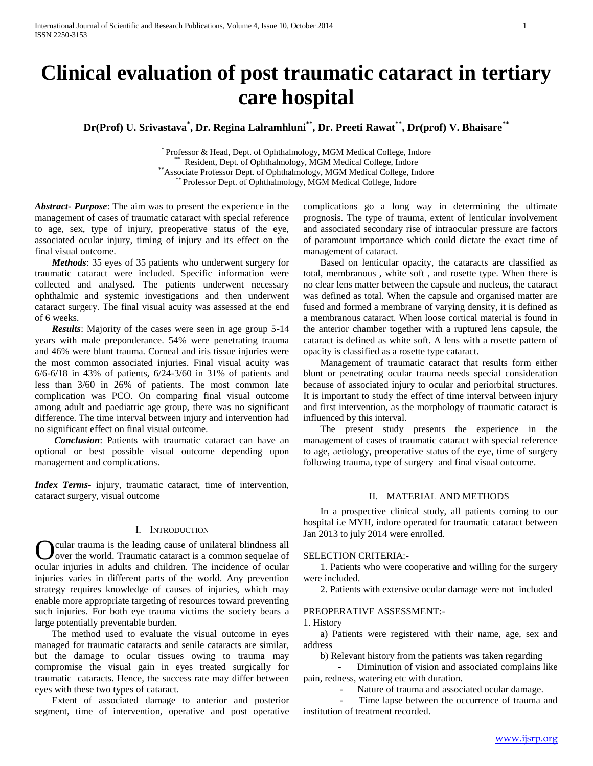# **Clinical evaluation of post traumatic cataract in tertiary care hospital**

**Dr(Prof) U. Srivastava\* , Dr. Regina Lalramhluni\*\*, Dr. Preeti Rawat\*\*, Dr(prof) V. Bhaisare\*\***

\* Professor & Head, Dept. of Ophthalmology, MGM Medical College, Indore \*\* Resident, Dept. of Ophthalmology, MGM Medical College, Indore \*\*Associate Professor Dept. of Ophthalmology, MGM Medical College, Indore \*\* Professor Dept. of Ophthalmology, MGM Medical College, Indore

*Abstract***-** *Purpose*: The aim was to present the experience in the management of cases of traumatic cataract with special reference to age, sex, type of injury, preoperative status of the eye, associated ocular injury, timing of injury and its effect on the final visual outcome.

 *Methods*: 35 eyes of 35 patients who underwent surgery for traumatic cataract were included. Specific information were collected and analysed. The patients underwent necessary ophthalmic and systemic investigations and then underwent cataract surgery. The final visual acuity was assessed at the end of 6 weeks.

 *Results*: Majority of the cases were seen in age group 5-14 years with male preponderance. 54% were penetrating trauma and 46% were blunt trauma. Corneal and iris tissue injuries were the most common associated injuries. Final visual acuity was 6/6-6/18 in 43% of patients, 6/24-3/60 in 31% of patients and less than 3/60 in 26% of patients. The most common late complication was PCO. On comparing final visual outcome among adult and paediatric age group, there was no significant difference. The time interval between injury and intervention had no significant effect on final visual outcome.

 *Conclusion*: Patients with traumatic cataract can have an optional or best possible visual outcome depending upon management and complications.

*Index Terms*- injury, traumatic cataract, time of intervention, cataract surgery, visual outcome

#### I. INTRODUCTION

cular trauma is the leading cause of unilateral blindness all over the world. Traumatic cataract is a common sequelae of ocular injuries in adults and children. The incidence of ocular injuries varies in different parts of the world. Any prevention strategy requires knowledge of causes of injuries, which may enable more appropriate targeting of resources toward preventing such injuries. For both eye trauma victims the society bears a large potentially preventable burden. O

 The method used to evaluate the visual outcome in eyes managed for traumatic cataracts and senile cataracts are similar, but the damage to ocular tissues owing to trauma may compromise the visual gain in eyes treated surgically for traumatic cataracts. Hence, the success rate may differ between eyes with these two types of cataract.

 Extent of associated damage to anterior and posterior segment, time of intervention, operative and post operative complications go a long way in determining the ultimate prognosis. The type of trauma, extent of lenticular involvement and associated secondary rise of intraocular pressure are factors of paramount importance which could dictate the exact time of management of cataract.

 Based on lenticular opacity, the cataracts are classified as total, membranous , white soft , and rosette type. When there is no clear lens matter between the capsule and nucleus, the cataract was defined as total. When the capsule and organised matter are fused and formed a membrane of varying density, it is defined as a membranous cataract. When loose cortical material is found in the anterior chamber together with a ruptured lens capsule, the cataract is defined as white soft. A lens with a rosette pattern of opacity is classified as a rosette type cataract.

 Management of traumatic cataract that results form either blunt or penetrating ocular trauma needs special consideration because of associated injury to ocular and periorbital structures. It is important to study the effect of time interval between injury and first intervention, as the morphology of traumatic cataract is influenced by this interval.

 The present study presents the experience in the management of cases of traumatic cataract with special reference to age, aetiology, preoperative status of the eye, time of surgery following trauma, type of surgery and final visual outcome.

#### II. MATERIAL AND METHODS

 In a prospective clinical study, all patients coming to our hospital i.e MYH, indore operated for traumatic cataract between Jan 2013 to july 2014 were enrolled.

#### SELECTION CRITERIA:-

 1. Patients who were cooperative and willing for the surgery were included.

2. Patients with extensive ocular damage were not included

# PREOPERATIVE ASSESSMENT:-

#### 1. History

 a) Patients were registered with their name, age, sex and address

b) Relevant history from the patients was taken regarding

Diminution of vision and associated complains like pain, redness, watering etc with duration.

Nature of trauma and associated ocular damage.

Time lapse between the occurrence of trauma and institution of treatment recorded.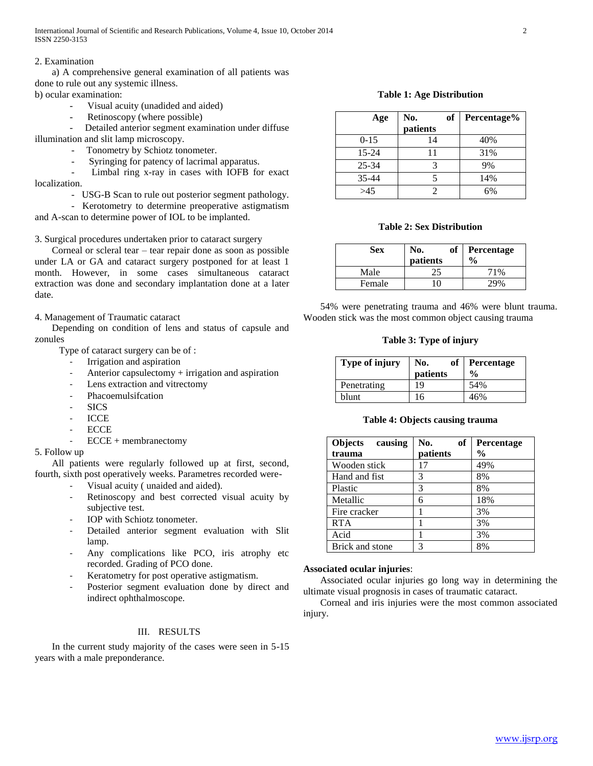International Journal of Scientific and Research Publications, Volume 4, Issue 10, October 2014 2 ISSN 2250-3153

#### 2. Examination

 a) A comprehensive general examination of all patients was done to rule out any systemic illness. b) ocular examination:

- Visual acuity (unadided and aided)
- Retinoscopy (where possible)

Detailed anterior segment examination under diffuse illumination and slit lamp microscopy.

- Tonometry by Schiotz tonometer.
- Syringing for patency of lacrimal apparatus.

Limbal ring x-ray in cases with IOFB for exact localization.

- USG-B Scan to rule out posterior segment pathology.
- Kerotometry to determine preoperative astigmatism

and A-scan to determine power of IOL to be implanted.

3. Surgical procedures undertaken prior to cataract surgery

 Corneal or scleral tear – tear repair done as soon as possible under LA or GA and cataract surgery postponed for at least 1 month. However, in some cases simultaneous cataract extraction was done and secondary implantation done at a later date.

4. Management of Traumatic cataract

 Depending on condition of lens and status of capsule and zonules

- Type of cataract surgery can be of :
	- Irrigation and aspiration
	- Anterior capsulectomy + irrigation and aspiration
	- Lens extraction and vitrectomy
	- Phacoemulsifcation
	- SICS
	- ICCE
	- ECCE<sub></sub>
	- ECCE + membranectomy

# 5. Follow up

 All patients were regularly followed up at first, second, fourth, sixth post operatively weeks. Parametres recorded were-

- Visual acuity (unaided and aided).
- Retinoscopy and best corrected visual acuity by subjective test.
- IOP with Schiotz tonometer.
- Detailed anterior segment evaluation with Slit lamp.
- Any complications like PCO, iris atrophy etc recorded. Grading of PCO done.
- Keratometry for post operative astigmatism.
- Posterior segment evaluation done by direct and indirect ophthalmoscope.

#### III. RESULTS

 In the current study majority of the cases were seen in 5-15 years with a male preponderance.

**Table 1: Age Distribution**

| Age       | оf<br>No.<br>patients | Percentage% |
|-----------|-----------------------|-------------|
| $0 - 15$  | 14                    | 40%         |
| $15 - 24$ | 11                    | 31%         |
| $25 - 34$ |                       | 9%          |
| 35-44     |                       | 14%         |
| >45       |                       | 6%          |

#### **Table 2: Sex Distribution**

| Sex    | <sub>of</sub><br>No.<br>patients | Percentage<br>$\frac{0}{0}$ |
|--------|----------------------------------|-----------------------------|
| Male   | 25                               | 71%                         |
| Female | $\Omega$                         | 29%                         |

 54% were penetrating trauma and 46% were blunt trauma. Wooden stick was the most common object causing trauma

# **Table 3: Type of injury**

| Type of injury | No.<br>of | Percentage    |
|----------------|-----------|---------------|
|                | patients  | $\frac{6}{9}$ |
| Penetrating    | 19        | 54%           |
| blunt          | 16        | 46%           |

#### **Table 4: Objects causing trauma**

| Objects causing | No.<br>оf | <b>Percentage</b> |
|-----------------|-----------|-------------------|
| trauma          | patients  | $\frac{0}{0}$     |
| Wooden stick    | 17        | 49%               |
| Hand and fist   | 3         | 8%                |
| Plastic         | 3         | 8%                |
| Metallic        | 6         | 18%               |
| Fire cracker    |           | 3%                |
| <b>RTA</b>      |           | 3%                |
| Acid            |           | 3%                |
| Brick and stone | 3         | 8%                |

## **Associated ocular injuries**:

 Associated ocular injuries go long way in determining the ultimate visual prognosis in cases of traumatic cataract.

 Corneal and iris injuries were the most common associated injury.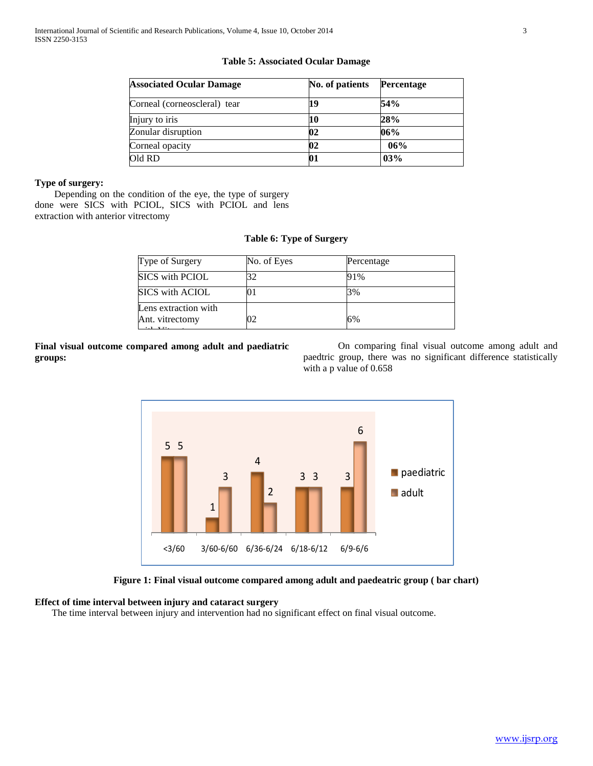# **Table 5: Associated Ocular Damage**

| <b>Associated Ocular Damage</b> | No. of patients | Percentage |
|---------------------------------|-----------------|------------|
| Corneal (corneoscleral) tear    | 19              | 54%        |
| Injury to iris                  | 10              | 28%        |
| Zonular disruption              | 02              | 06%        |
| Corneal opacity                 | 02              | 06%        |
| Old RD                          | 01              | 03%        |

# **Type of surgery:**

 Depending on the condition of the eye, the type of surgery done were SICS with PCIOL, SICS with PCIOL and lens extraction with anterior vitrectomy

# **Table 6: Type of Surgery**

| Type of Surgery                         | No. of Eyes | Percentage |  |
|-----------------------------------------|-------------|------------|--|
| <b>SICS</b> with PCIOL                  |             | 91%        |  |
| <b>SICS</b> with ACIOL                  |             | 3%         |  |
| Lens extraction with<br>Ant. vitrectomy |             | 6%         |  |

**Final visual outcome compared among adult and paediatric groups:**

On comparing final visual outcome among adult and paedtric group, there was no significant difference statistically with a p value of 0.658



# **Figure 1: Final visual outcome compared among adult and paedeatric group ( bar chart)**

# **Effect of time interval between injury and cataract surgery**

The time interval between injury and intervention had no significant effect on final visual outcome.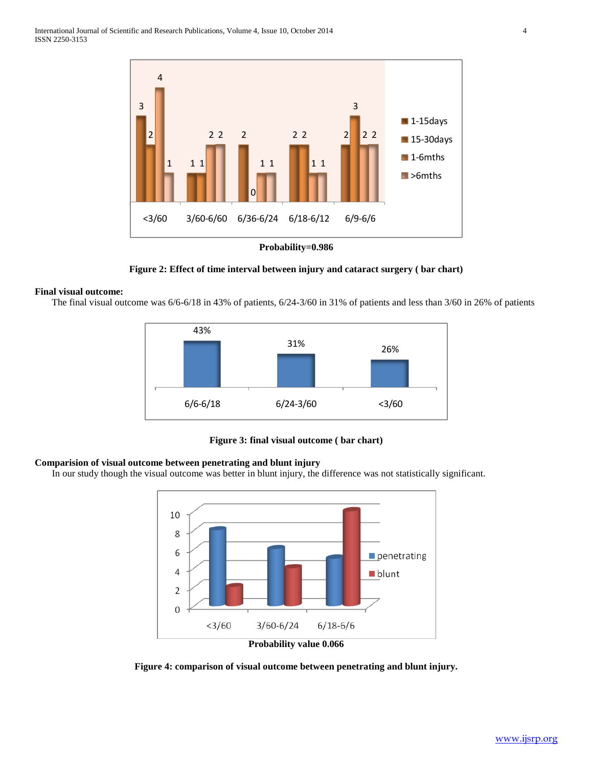

**Figure 2: Effect of time interval between injury and cataract surgery ( bar chart)**

## **Final visual outcome:**

The final visual outcome was 6/6-6/18 in 43% of patients, 6/24-3/60 in 31% of patients and less than 3/60 in 26% of patients



**Figure 3: final visual outcome ( bar chart)**

# **Comparision of visual outcome between penetrating and blunt injury**

In our study though the visual outcome was better in blunt injury, the difference was not statistically significant.



**Figure 4: comparison of visual outcome between penetrating and blunt injury.**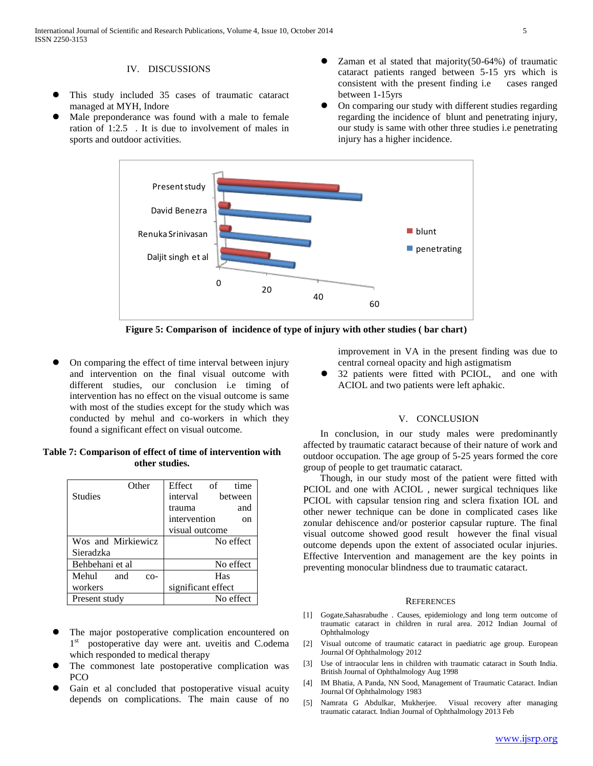## IV. DISCUSSIONS

- This study included 35 cases of traumatic cataract managed at MYH, Indore
- Male preponderance was found with a male to female ration of 1:2.5 . It is due to involvement of males in sports and outdoor activities.
- Zaman et al stated that majority(50-64%) of traumatic cataract patients ranged between 5-15 yrs which is consistent with the present finding i.e cases ranged between 1-15yrs
- On comparing our study with different studies regarding regarding the incidence of blunt and penetrating injury, our study is same with other three studies i.e penetrating injury has a higher incidence.



**Figure 5: Comparison of incidence of type of injury with other studies ( bar chart)**

 On comparing the effect of time interval between injury and intervention on the final visual outcome with different studies, our conclusion i.e timing of intervention has no effect on the visual outcome is same with most of the studies except for the study which was conducted by mehul and co-workers in which they found a significant effect on visual outcome.

# **Table 7: Comparison of effect of time of intervention with other studies.**

| Other                 | Effect<br>time<br>- of |
|-----------------------|------------------------|
| <b>Studies</b>        | interval<br>between    |
|                       | and<br>trauma          |
|                       | intervention<br>on     |
|                       | visual outcome         |
| Wos and Mirkiewicz    | No effect              |
| Sieradzka             |                        |
| Behbehani et al       | No effect              |
| Mehul<br>and<br>$CO-$ | Has                    |
| workers               | significant effect     |
| Present study         | No effect              |

- The major postoperative complication encountered on 1<sup>st</sup> postoperative day were ant. uveitis and C.odema which responded to medical therapy
- The commonest late postoperative complication was PCO
- Gain et al concluded that postoperative visual acuity depends on complications. The main cause of no

improvement in VA in the present finding was due to central corneal opacity and high astigmatism

 32 patients were fitted with PCIOL, and one with ACIOL and two patients were left aphakic.

#### V. CONCLUSION

In conclusion, in our study males were predominantly affected by traumatic cataract because of their nature of work and outdoor occupation. The age group of 5-25 years formed the core group of people to get traumatic cataract.

 Though, in our study most of the patient were fitted with PCIOL and one with ACIOL , newer surgical techniques like PCIOL with capsular tension ring and sclera fixation IOL and other newer technique can be done in complicated cases like zonular dehiscence and/or posterior capsular rupture. The final visual outcome showed good result however the final visual outcome depends upon the extent of associated ocular injuries. Effective Intervention and management are the key points in preventing monocular blindness due to traumatic cataract.

## **REFERENCES**

- [1] Gogate,Sahasrabudhe . Causes, epidemiology and long term outcome of traumatic cataract in children in rural area. 2012 Indian Journal of Ophthalmology
- [2] Visual outcome of traumatic cataract in paediatric age group. European Journal Of Ophthalmology 2012
- [3] Use of intraocular lens in children with traumatic cataract in South India. British Journal of Ophthalmology Aug 1998
- [4] IM Bhatia, A Panda, NN Sood, Management of Traumatic Cataract. Indian Journal Of Ophthalmology 1983
- [5] Namrata G Abdulkar, Mukherjee. Visual recovery after managing traumatic cataract. Indian Journal of Ophthalmology 2013 Feb